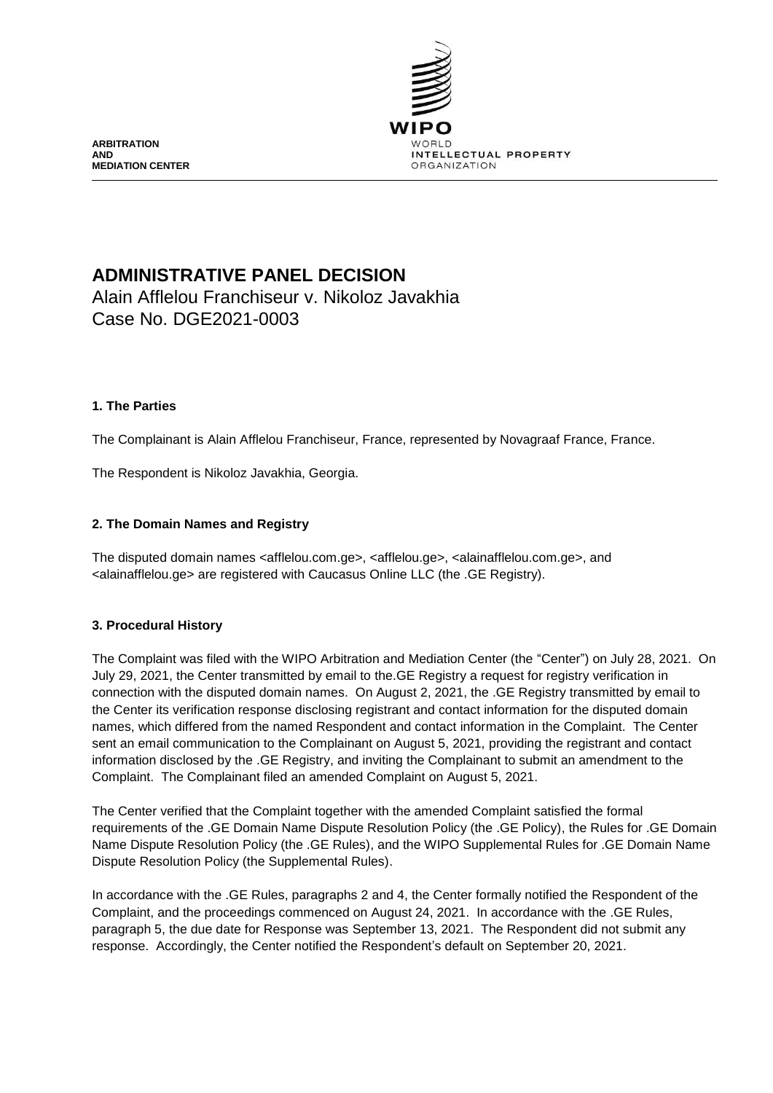

**ARBITRATION AND MEDIATION CENTER**

# **ADMINISTRATIVE PANEL DECISION**

Alain Afflelou Franchiseur v. Nikoloz Javakhia Case No. DGE2021-0003

# **1. The Parties**

The Complainant is Alain Afflelou Franchiseur, France, represented by Novagraaf France, France.

The Respondent is Nikoloz Javakhia, Georgia.

# **2. The Domain Names and Registry**

The disputed domain names <afflelou.com.ge>, <afflelou.ge>, <alainafflelou.com.ge>, and <alainafflelou.ge> are registered with Caucasus Online LLC (the .GE Registry).

### **3. Procedural History**

The Complaint was filed with the WIPO Arbitration and Mediation Center (the "Center") on July 28, 2021. On July 29, 2021, the Center transmitted by email to the.GE Registry a request for registry verification in connection with the disputed domain names. On August 2, 2021, the .GE Registry transmitted by email to the Center its verification response disclosing registrant and contact information for the disputed domain names, which differed from the named Respondent and contact information in the Complaint. The Center sent an email communication to the Complainant on August 5, 2021, providing the registrant and contact information disclosed by the .GE Registry, and inviting the Complainant to submit an amendment to the Complaint. The Complainant filed an amended Complaint on August 5, 2021.

The Center verified that the Complaint together with the amended Complaint satisfied the formal requirements of the .GE Domain Name Dispute Resolution Policy (the .GE Policy), the Rules for .GE Domain Name Dispute Resolution Policy (the .GE Rules), and the WIPO Supplemental Rules for .GE Domain Name Dispute Resolution Policy (the Supplemental Rules).

In accordance with the .GE Rules, paragraphs 2 and 4, the Center formally notified the Respondent of the Complaint, and the proceedings commenced on August 24, 2021. In accordance with the .GE Rules, paragraph 5, the due date for Response was September 13, 2021. The Respondent did not submit any response. Accordingly, the Center notified the Respondent's default on September 20, 2021.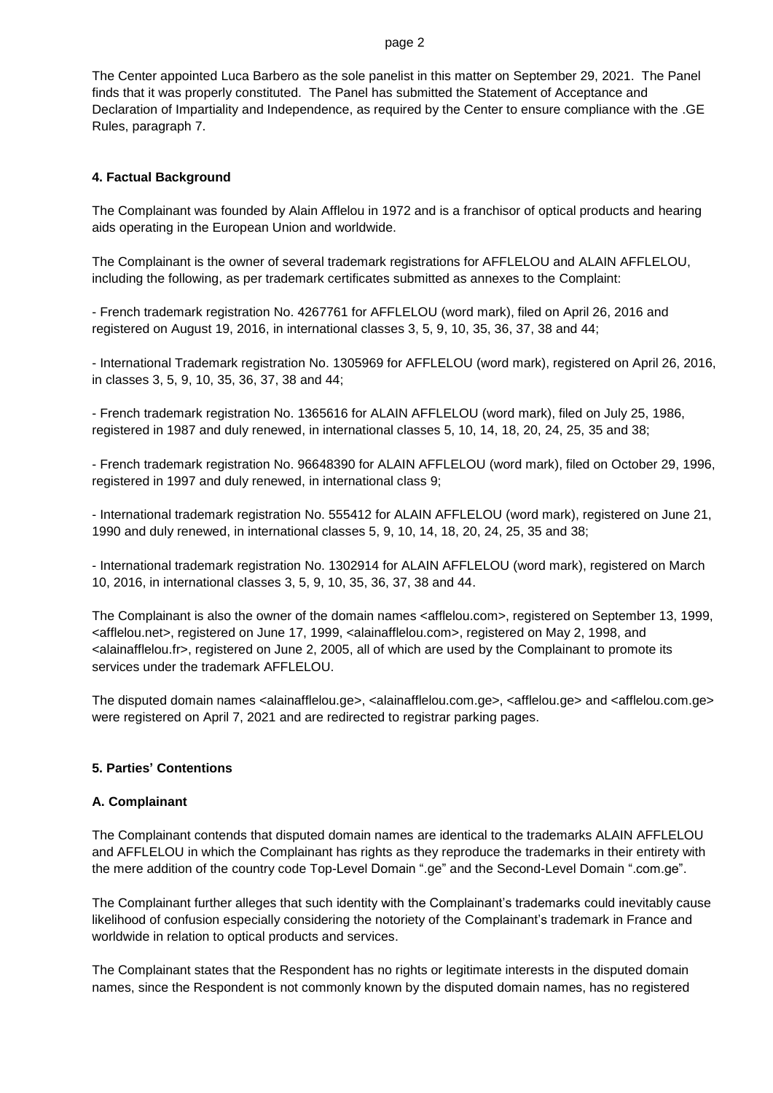The Center appointed Luca Barbero as the sole panelist in this matter on September 29, 2021. The Panel finds that it was properly constituted. The Panel has submitted the Statement of Acceptance and Declaration of Impartiality and Independence, as required by the Center to ensure compliance with the .GE Rules, paragraph 7.

### **4. Factual Background**

The Complainant was founded by Alain Afflelou in 1972 and is a franchisor of optical products and hearing aids operating in the European Union and worldwide.

The Complainant is the owner of several trademark registrations for AFFLELOU and ALAIN AFFLELOU, including the following, as per trademark certificates submitted as annexes to the Complaint:

- French trademark registration No. 4267761 for AFFLELOU (word mark), filed on April 26, 2016 and registered on August 19, 2016, in international classes 3, 5, 9, 10, 35, 36, 37, 38 and 44;

- International Trademark registration No. 1305969 for AFFLELOU (word mark), registered on April 26, 2016, in classes 3, 5, 9, 10, 35, 36, 37, 38 and 44;

- French trademark registration No. 1365616 for ALAIN AFFLELOU (word mark), filed on July 25, 1986, registered in 1987 and duly renewed, in international classes 5, 10, 14, 18, 20, 24, 25, 35 and 38;

- French trademark registration No. 96648390 for ALAIN AFFLELOU (word mark), filed on October 29, 1996, registered in 1997 and duly renewed, in international class 9;

- International trademark registration No. 555412 for ALAIN AFFLELOU (word mark), registered on June 21, 1990 and duly renewed, in international classes 5, 9, 10, 14, 18, 20, 24, 25, 35 and 38;

- International trademark registration No. 1302914 for ALAIN AFFLELOU (word mark), registered on March 10, 2016, in international classes 3, 5, 9, 10, 35, 36, 37, 38 and 44.

The Complainant is also the owner of the domain names <afflelou.com>, registered on September 13, 1999, <afflelou.net>, registered on June 17, 1999, <alainafflelou.com>, registered on May 2, 1998, and <alainafflelou.fr>, registered on June 2, 2005, all of which are used by the Complainant to promote its services under the trademark AFFLELOU.

The disputed domain names <alainafflelou.ge>, <alainafflelou.com.ge>, <afflelou.ge> and <afflelou.com.ge> were registered on April 7, 2021 and are redirected to registrar parking pages.

#### **5. Parties' Contentions**

#### **A. Complainant**

The Complainant contends that disputed domain names are identical to the trademarks ALAIN AFFLELOU and AFFLELOU in which the Complainant has rights as they reproduce the trademarks in their entirety with the mere addition of the country code Top-Level Domain ".ge" and the Second-Level Domain ".com.ge".

The Complainant further alleges that such identity with the Complainant's trademarks could inevitably cause likelihood of confusion especially considering the notoriety of the Complainant's trademark in France and worldwide in relation to optical products and services.

The Complainant states that the Respondent has no rights or legitimate interests in the disputed domain names, since the Respondent is not commonly known by the disputed domain names, has no registered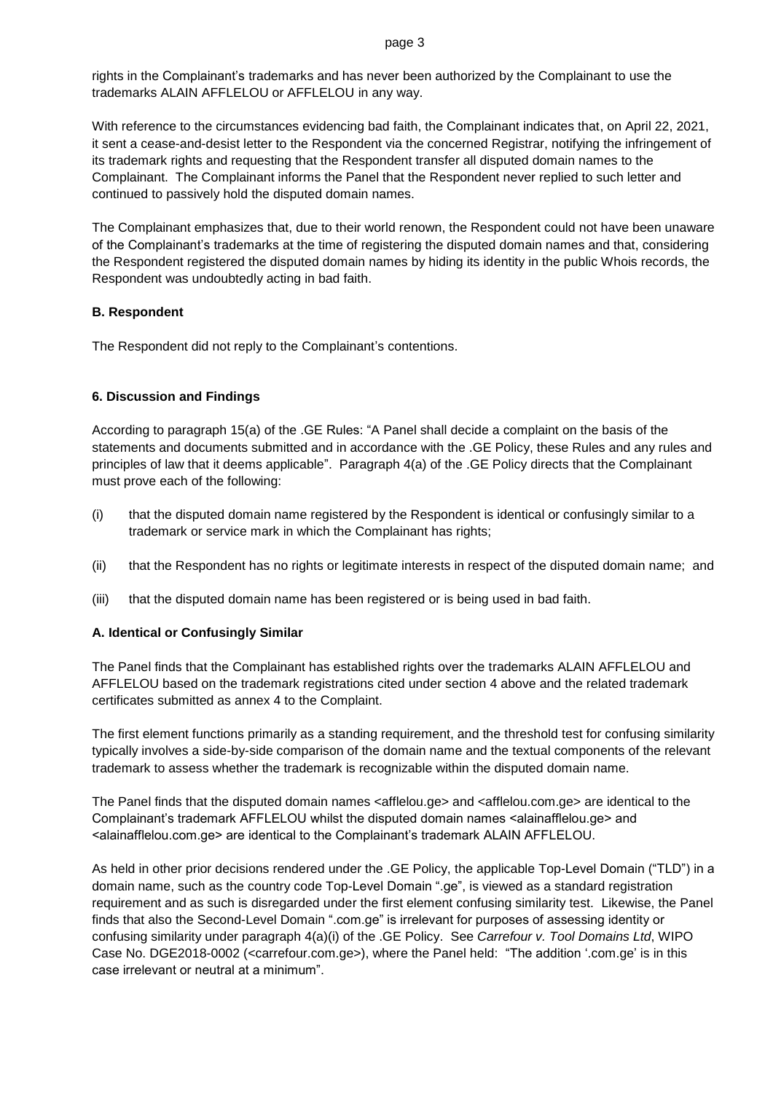rights in the Complainant's trademarks and has never been authorized by the Complainant to use the trademarks ALAIN AFFLELOU or AFFLELOU in any way.

With reference to the circumstances evidencing bad faith, the Complainant indicates that, on April 22, 2021, it sent a cease-and-desist letter to the Respondent via the concerned Registrar, notifying the infringement of its trademark rights and requesting that the Respondent transfer all disputed domain names to the Complainant. The Complainant informs the Panel that the Respondent never replied to such letter and continued to passively hold the disputed domain names.

The Complainant emphasizes that, due to their world renown, the Respondent could not have been unaware of the Complainant's trademarks at the time of registering the disputed domain names and that, considering the Respondent registered the disputed domain names by hiding its identity in the public Whois records, the Respondent was undoubtedly acting in bad faith.

# **B. Respondent**

The Respondent did not reply to the Complainant's contentions.

# **6. Discussion and Findings**

According to paragraph 15(a) of the .GE Rules: "A Panel shall decide a complaint on the basis of the statements and documents submitted and in accordance with the .GE Policy, these Rules and any rules and principles of law that it deems applicable". Paragraph 4(a) of the .GE Policy directs that the Complainant must prove each of the following:

- (i) that the disputed domain name registered by the Respondent is identical or confusingly similar to a trademark or service mark in which the Complainant has rights;
- (ii) that the Respondent has no rights or legitimate interests in respect of the disputed domain name; and
- (iii) that the disputed domain name has been registered or is being used in bad faith.

# **A. Identical or Confusingly Similar**

The Panel finds that the Complainant has established rights over the trademarks ALAIN AFFLELOU and AFFLELOU based on the trademark registrations cited under section 4 above and the related trademark certificates submitted as annex 4 to the Complaint.

The first element functions primarily as a standing requirement, and the threshold test for confusing similarity typically involves a side-by-side comparison of the domain name and the textual components of the relevant trademark to assess whether the trademark is recognizable within the disputed domain name.

The Panel finds that the disputed domain names <afflelou.ge> and <afflelou.com.ge> are identical to the Complainant's trademark AFFLELOU whilst the disputed domain names <alainafflelou.ge> and <alainafflelou.com.ge> are identical to the Complainant's trademark ALAIN AFFLELOU.

As held in other prior decisions rendered under the .GE Policy, the applicable Top-Level Domain ("TLD") in a domain name, such as the country code Top-Level Domain ".ge", is viewed as a standard registration requirement and as such is disregarded under the first element confusing similarity test. Likewise, the Panel finds that also the Second-Level Domain ".com.ge" is irrelevant for purposes of assessing identity or confusing similarity under paragraph 4(a)(i) of the .GE Policy. See *Carrefour v. Tool Domains Ltd*, WIPO Case No. DGE2018-0002 (<carrefour.com.ge>), where the Panel held: "The addition '.com.ge' is in this case irrelevant or neutral at a minimum".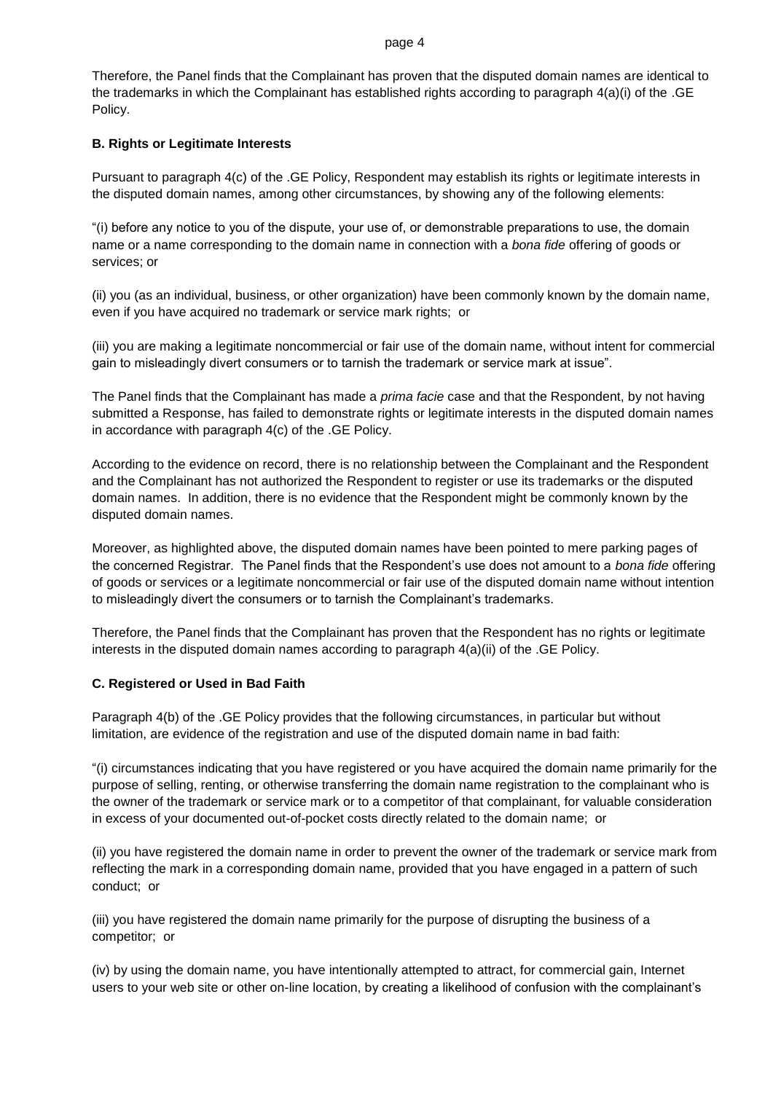Therefore, the Panel finds that the Complainant has proven that the disputed domain names are identical to the trademarks in which the Complainant has established rights according to paragraph 4(a)(i) of the .GE Policy.

### **B. Rights or Legitimate Interests**

Pursuant to paragraph 4(c) of the .GE Policy, Respondent may establish its rights or legitimate interests in the disputed domain names, among other circumstances, by showing any of the following elements:

"(i) before any notice to you of the dispute, your use of, or demonstrable preparations to use, the domain name or a name corresponding to the domain name in connection with a *bona fide* offering of goods or services; or

(ii) you (as an individual, business, or other organization) have been commonly known by the domain name, even if you have acquired no trademark or service mark rights; or

(iii) you are making a legitimate noncommercial or fair use of the domain name, without intent for commercial gain to misleadingly divert consumers or to tarnish the trademark or service mark at issue".

The Panel finds that the Complainant has made a *prima facie* case and that the Respondent, by not having submitted a Response, has failed to demonstrate rights or legitimate interests in the disputed domain names in accordance with paragraph 4(c) of the .GE Policy.

According to the evidence on record, there is no relationship between the Complainant and the Respondent and the Complainant has not authorized the Respondent to register or use its trademarks or the disputed domain names. In addition, there is no evidence that the Respondent might be commonly known by the disputed domain names.

Moreover, as highlighted above, the disputed domain names have been pointed to mere parking pages of the concerned Registrar. The Panel finds that the Respondent's use does not amount to a *bona fide* offering of goods or services or a legitimate noncommercial or fair use of the disputed domain name without intention to misleadingly divert the consumers or to tarnish the Complainant's trademarks.

Therefore, the Panel finds that the Complainant has proven that the Respondent has no rights or legitimate interests in the disputed domain names according to paragraph 4(a)(ii) of the .GE Policy.

### **C. Registered or Used in Bad Faith**

Paragraph 4(b) of the .GE Policy provides that the following circumstances, in particular but without limitation, are evidence of the registration and use of the disputed domain name in bad faith:

"(i) circumstances indicating that you have registered or you have acquired the domain name primarily for the purpose of selling, renting, or otherwise transferring the domain name registration to the complainant who is the owner of the trademark or service mark or to a competitor of that complainant, for valuable consideration in excess of your documented out-of-pocket costs directly related to the domain name; or

(ii) you have registered the domain name in order to prevent the owner of the trademark or service mark from reflecting the mark in a corresponding domain name, provided that you have engaged in a pattern of such conduct; or

(iii) you have registered the domain name primarily for the purpose of disrupting the business of a competitor; or

(iv) by using the domain name, you have intentionally attempted to attract, for commercial gain, Internet users to your web site or other on-line location, by creating a likelihood of confusion with the complainant's